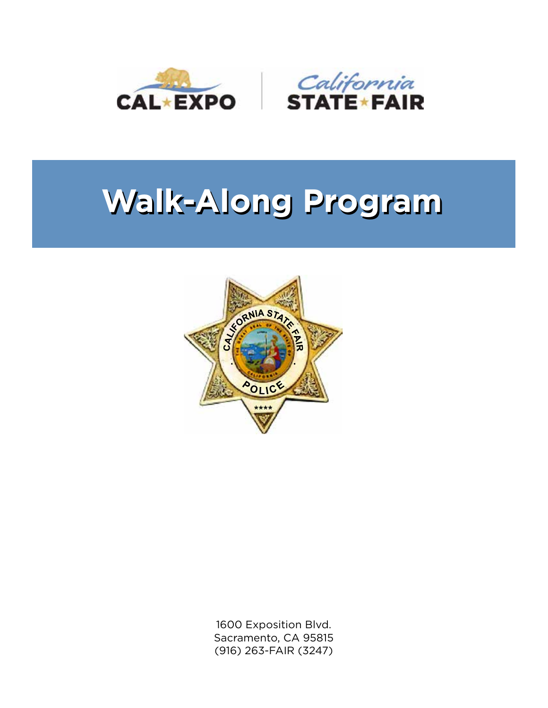

# **Walk-Along Program Walk-Along Program**



1600 Exposition Blvd. Sacramento, CA 95815 (916) 263-FAIR (3247)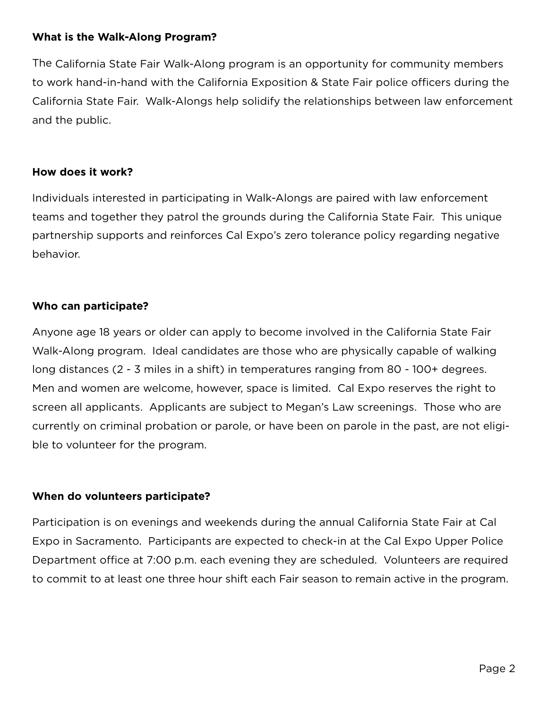#### **What is the Walk-Along Program?**

The California State Fair Walk-Along program is an opportunity for community members to work hand-in-hand with the California Exposition & State Fair police officers during the California State Fair. Walk-Alongs help solidify the relationships between law enforcement and the public.

## **How does it work?**

Individuals interested in participating in Walk-Alongs are paired with law enforcement teams and together they patrol the grounds during the California State Fair. This unique partnership supports and reinforces Cal Expo's zero tolerance policy regarding negative behavior.

# **Who can participate?**

Anyone age 18 years or older can apply to become involved in the California State Fair Walk-Along program. Ideal candidates are those who are physically capable of walking long distances (2 - 3 miles in a shift) in temperatures ranging from 80 - 100+ degrees. Men and women are welcome, however, space is limited. Cal Expo reserves the right to screen all applicants. Applicants are subject to Megan's Law screenings. Those who are currently on criminal probation or parole, or have been on parole in the past, are not eligible to volunteer for the program.

# **When do volunteers participate?**

Participation is on evenings and weekends during the annual California State Fair at Cal Expo in Sacramento. Participants are expected to check-in at the Cal Expo Upper Police Department office at 7:00 p.m. each evening they are scheduled. Volunteers are required to commit to at least one three hour shift each Fair season to remain active in the program.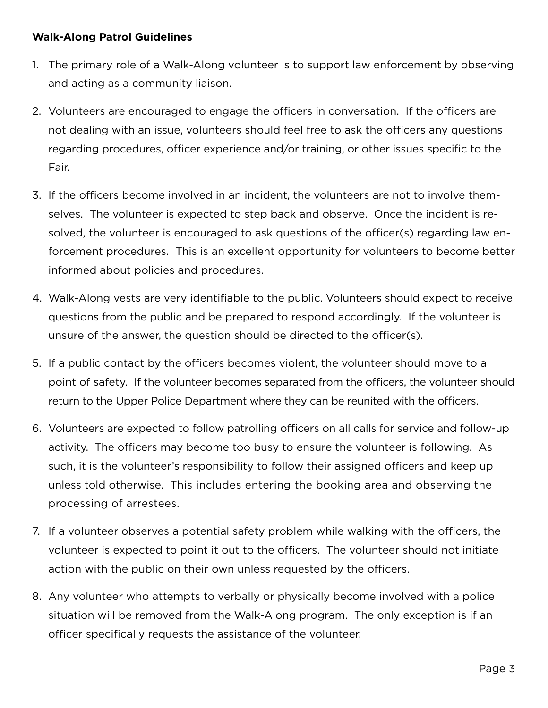## **Walk-Along Patrol Guidelines**

- 1. The primary role of a Walk-Along volunteer is to support law enforcement by observing and acting as a community liaison.
- 2. Volunteers are encouraged to engage the officers in conversation. If the officers are not dealing with an issue, volunteers should feel free to ask the officers any questions regarding procedures, officer experience and/or training, or other issues specific to the Fair.
- 3. If the officers become involved in an incident, the volunteers are not to involve themselves. The volunteer is expected to step back and observe. Once the incident is resolved, the volunteer is encouraged to ask questions of the officer(s) regarding law enforcement procedures. This is an excellent opportunity for volunteers to become better informed about policies and procedures.
- 4. Walk-Along vests are very identifiable to the public. Volunteers should expect to receive questions from the public and be prepared to respond accordingly. If the volunteer is unsure of the answer, the question should be directed to the officer(s).
- 5. If a public contact by the officers becomes violent, the volunteer should move to a point of safety. If the volunteer becomes separated from the officers, the volunteer should return to the Upper Police Department where they can be reunited with the officers.
- 6. Volunteers are expected to follow patrolling officers on all calls for service and follow-up activity. The officers may become too busy to ensure the volunteer is following. As such, it is the volunteer's responsibility to follow their assigned officers and keep up unless told otherwise. This includes entering the booking area and observing the processing of arrestees.
- 7. If a volunteer observes a potential safety problem while walking with the officers, the volunteer is expected to point it out to the officers. The volunteer should not initiate action with the public on their own unless requested by the officers.
- 8. Any volunteer who attempts to verbally or physically become involved with a police situation will be removed from the Walk-Along program. The only exception is if an officer specifically requests the assistance of the volunteer.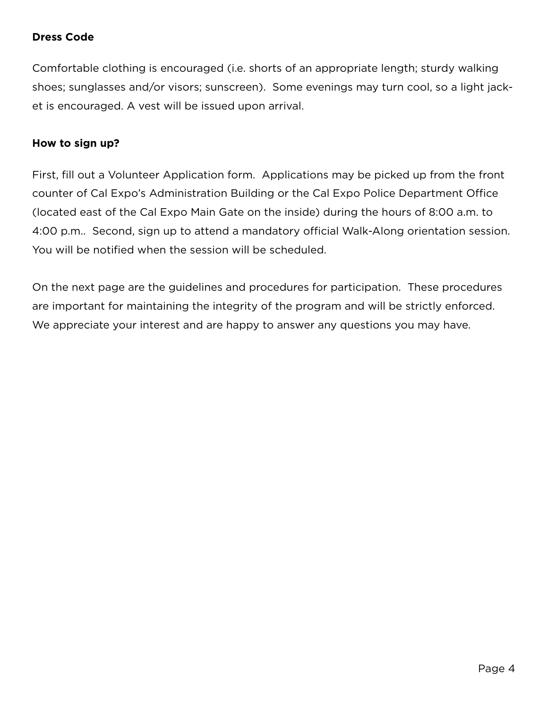# **Dress Code**

Comfortable clothing is encouraged (i.e. shorts of an appropriate length; sturdy walking shoes; sunglasses and/or visors; sunscreen). Some evenings may turn cool, so a light jacket is encouraged. A vest will be issued upon arrival.

#### **How to sign up?**

First, fill out a Volunteer Application form. Applications may be picked up from the front counter of Cal Expo's Administration Building or the Cal Expo Police Department Office (located east of the Cal Expo Main Gate on the inside) during the hours of 8:00 a.m. to 4:00 p.m.. Second, sign up to attend a mandatory official Walk-Along orientation session. You will be notified when the session will be scheduled.

On the next page are the guidelines and procedures for participation. These procedures are important for maintaining the integrity of the program and will be strictly enforced. We appreciate your interest and are happy to answer any questions you may have.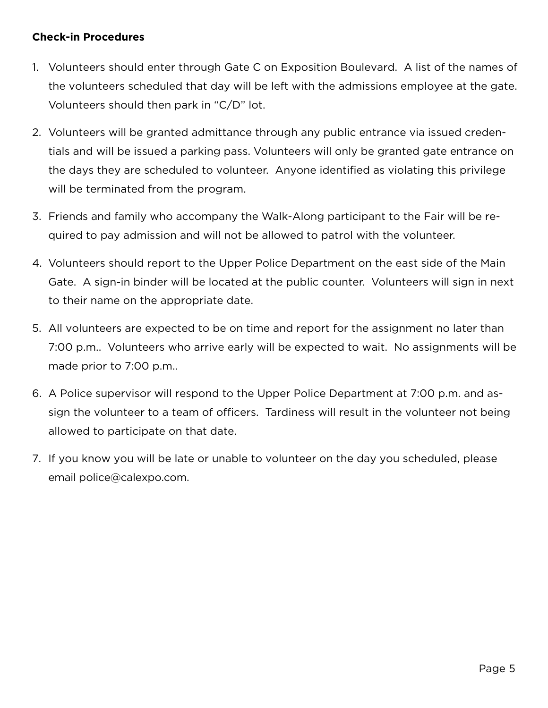### **Check-in Procedures**

- 1. Volunteers should enter through Gate C on Exposition Boulevard. A list of the names of the volunteers scheduled that day will be left with the admissions employee at the gate. Volunteers should then park in "C/D" lot.
- 2. Volunteers will be granted admittance through any public entrance via issued credentials and will be issued a parking pass. Volunteers will only be granted gate entrance on the days they are scheduled to volunteer. Anyone identified as violating this privilege will be terminated from the program.
- 3. Friends and family who accompany the Walk-Along participant to the Fair will be required to pay admission and will not be allowed to patrol with the volunteer.
- 4. Volunteers should report to the Upper Police Department on the east side of the Main Gate. A sign-in binder will be located at the public counter. Volunteers will sign in next to their name on the appropriate date.
- 5. All volunteers are expected to be on time and report for the assignment no later than 7:00 p.m.. Volunteers who arrive early will be expected to wait. No assignments will be made prior to 7:00 p.m..
- 6. A Police supervisor will respond to the Upper Police Department at 7:00 p.m. and assign the volunteer to a team of officers. Tardiness will result in the volunteer not being allowed to participate on that date.
- 7. If you know you will be late or unable to volunteer on the day you scheduled, please email police@calexpo.com.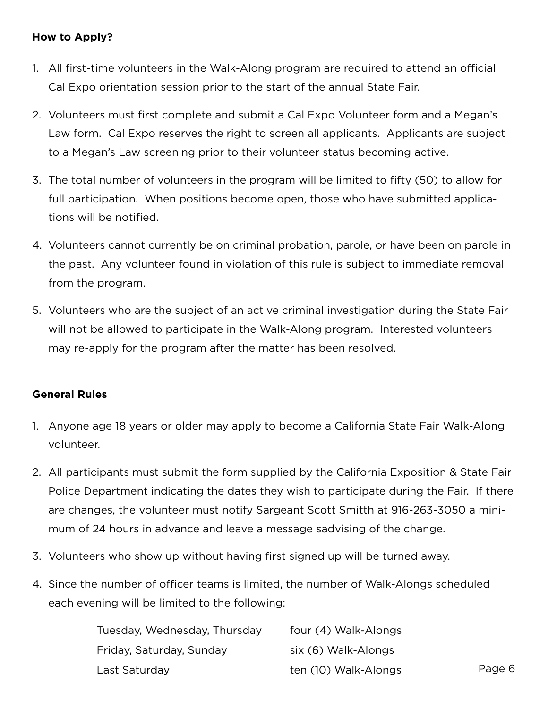# **How to Apply?**

- 1. All first-time volunteers in the Walk-Along program are required to attend an official Cal Expo orientation session prior to the start of the annual State Fair.
- 2. Volunteers must first complete and submit a Cal Expo Volunteer form and a Megan's Law form. Cal Expo reserves the right to screen all applicants. Applicants are subject to a Megan's Law screening prior to their volunteer status becoming active.
- 3. The total number of volunteers in the program will be limited to fifty (50) to allow for full participation. When positions become open, those who have submitted applications will be notified.
- 4. Volunteers cannot currently be on criminal probation, parole, or have been on parole in the past. Any volunteer found in violation of this rule is subject to immediate removal from the program.
- 5. Volunteers who are the subject of an active criminal investigation during the State Fair will not be allowed to participate in the Walk-Along program. Interested volunteers may re-apply for the program after the matter has been resolved.

#### **General Rules**

- 1. Anyone age 18 years or older may apply to become a California State Fair Walk-Along volunteer.
- 2. All participants must submit the form supplied by the California Exposition & State Fair Police Department indicating the dates they wish to participate during the Fair. If there are changes, the volunteer must notify Sargeant Scott Smitth at 916-263-3050 a minimum of 24 hours in advance and leave a message sadvising of the change.
- 3. Volunteers who show up without having first signed up will be turned away.
- 4. Since the number of officer teams is limited, the number of Walk-Alongs scheduled each evening will be limited to the following:

| Tuesday, Wednesday, Thursday | four (4) Walk-Alongs |
|------------------------------|----------------------|
| Friday, Saturday, Sunday     | six (6) Walk-Alongs  |
| Last Saturday                | ten (10) Walk-Alongs |